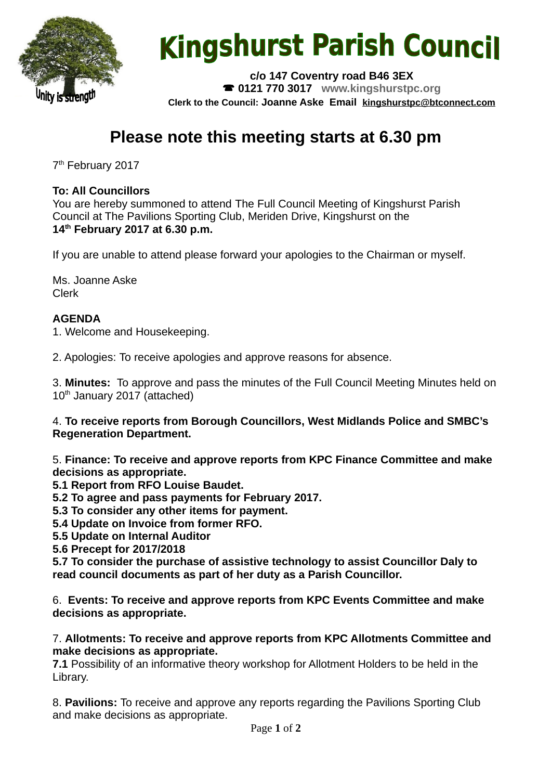

# **Kingshurst Parish Council**

**c/o 147 Coventry road B46 3EX 0121 770 3017 www.kingshurstpc.org Clerk to the Council: Joanne Aske Email [kingshurstpc@btconnect.com](mailto:kingshurstpc@btconnect.com)**

# **Please note this meeting starts at 6.30 pm**

7<sup>th</sup> February 2017

# **To: All Councillors**

You are hereby summoned to attend The Full Council Meeting of Kingshurst Parish Council at The Pavilions Sporting Club, Meriden Drive, Kingshurst on the **14th February 2017 at 6.30 p.m.**

If you are unable to attend please forward your apologies to the Chairman or myself.

Ms. Joanne Aske Clerk

# **AGENDA**

1. Welcome and Housekeeping.

2. Apologies: To receive apologies and approve reasons for absence.

3. **Minutes:** To approve and pass the minutes of the Full Council Meeting Minutes held on 10<sup>th</sup> January 2017 (attached)

4. **To receive reports from Borough Councillors, West Midlands Police and SMBC's Regeneration Department.**

5. **Finance: To receive and approve reports from KPC Finance Committee and make decisions as appropriate.**

**5.1 Report from RFO Louise Baudet.**

**5.2 To agree and pass payments for February 2017.**

**5.3 To consider any other items for payment.**

**5.4 Update on Invoice from former RFO.**

**5.5 Update on Internal Auditor**

**5.6 Precept for 2017/2018**

**5.7 To consider the purchase of assistive technology to assist Councillor Daly to read council documents as part of her duty as a Parish Councillor.**

6. **Events: To receive and approve reports from KPC Events Committee and make decisions as appropriate.**

#### 7. **Allotments: To receive and approve reports from KPC Allotments Committee and make decisions as appropriate.**

**7.1** Possibility of an informative theory workshop for Allotment Holders to be held in the Library.

8. **Pavilions:** To receive and approve any reports regarding the Pavilions Sporting Club and make decisions as appropriate.